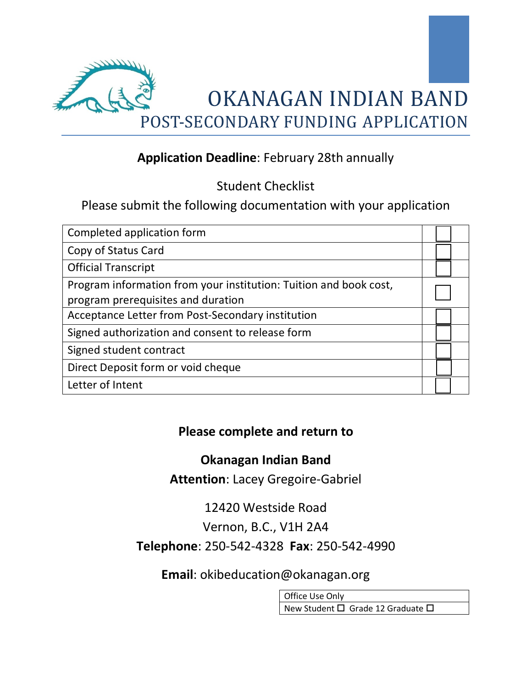

## **Application Deadline**: February 28th annually

Student Checklist

Please submit the following documentation with your application

| Completed application form                                                                              |  |
|---------------------------------------------------------------------------------------------------------|--|
| Copy of Status Card                                                                                     |  |
| <b>Official Transcript</b>                                                                              |  |
| Program information from your institution: Tuition and book cost,<br>program prerequisites and duration |  |
| Acceptance Letter from Post-Secondary institution                                                       |  |
| Signed authorization and consent to release form                                                        |  |
| Signed student contract                                                                                 |  |
| Direct Deposit form or void cheque                                                                      |  |
| Letter of Intent                                                                                        |  |

## **Please complete and return to**

### **Okanagan Indian Band**

**Attention**: Lacey Gregoire-Gabriel

12420 Westside Road Vernon, B.C., V1H 2A4 **Telephone**: 250-542-4328 **Fax**: 250-542-4990

**Email**: okibeducation@okanagan.org

Office Use Only New Student  $\square$  Grade 12 Graduate  $\square$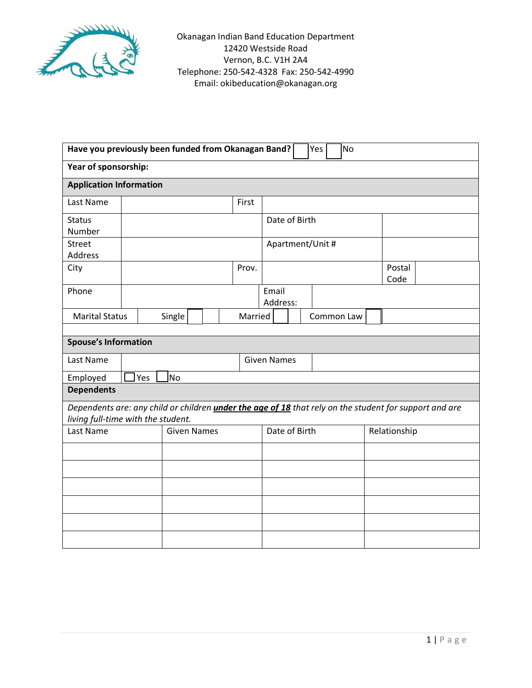

| Have you previously been funded from Okanagan Band?<br><b>No</b><br>Yes                                                                             |                    |  |                    |  |  |         |  |                   |  |            |                |  |
|-----------------------------------------------------------------------------------------------------------------------------------------------------|--------------------|--|--------------------|--|--|---------|--|-------------------|--|------------|----------------|--|
| Year of sponsorship:                                                                                                                                |                    |  |                    |  |  |         |  |                   |  |            |                |  |
| <b>Application Information</b>                                                                                                                      |                    |  |                    |  |  |         |  |                   |  |            |                |  |
| Last Name                                                                                                                                           |                    |  |                    |  |  | First   |  |                   |  |            |                |  |
| <b>Status</b>                                                                                                                                       |                    |  |                    |  |  |         |  | Date of Birth     |  |            |                |  |
| Number<br><b>Street</b>                                                                                                                             |                    |  |                    |  |  |         |  | Apartment/Unit #  |  |            |                |  |
| Address                                                                                                                                             |                    |  |                    |  |  |         |  |                   |  |            |                |  |
| City                                                                                                                                                |                    |  |                    |  |  | Prov.   |  |                   |  |            | Postal<br>Code |  |
| Phone                                                                                                                                               |                    |  |                    |  |  |         |  | Email<br>Address: |  |            |                |  |
| <b>Marital Status</b>                                                                                                                               |                    |  | Single             |  |  | Married |  |                   |  | Common Law |                |  |
|                                                                                                                                                     |                    |  |                    |  |  |         |  |                   |  |            |                |  |
| <b>Spouse's Information</b>                                                                                                                         |                    |  |                    |  |  |         |  |                   |  |            |                |  |
| Last Name                                                                                                                                           | <b>Given Names</b> |  |                    |  |  |         |  |                   |  |            |                |  |
| Employed                                                                                                                                            | Yes<br>lNo         |  |                    |  |  |         |  |                   |  |            |                |  |
| <b>Dependents</b>                                                                                                                                   |                    |  |                    |  |  |         |  |                   |  |            |                |  |
| Dependents are: any child or children <i>under the age of 18</i> that rely on the student for support and are<br>living full-time with the student. |                    |  |                    |  |  |         |  |                   |  |            |                |  |
| Last Name                                                                                                                                           |                    |  | <b>Given Names</b> |  |  |         |  | Date of Birth     |  |            | Relationship   |  |
|                                                                                                                                                     |                    |  |                    |  |  |         |  |                   |  |            |                |  |
|                                                                                                                                                     |                    |  |                    |  |  |         |  |                   |  |            |                |  |
|                                                                                                                                                     |                    |  |                    |  |  |         |  |                   |  |            |                |  |
|                                                                                                                                                     |                    |  |                    |  |  |         |  |                   |  |            |                |  |
|                                                                                                                                                     |                    |  |                    |  |  |         |  |                   |  |            |                |  |
|                                                                                                                                                     |                    |  |                    |  |  |         |  |                   |  |            |                |  |
|                                                                                                                                                     |                    |  |                    |  |  |         |  |                   |  |            |                |  |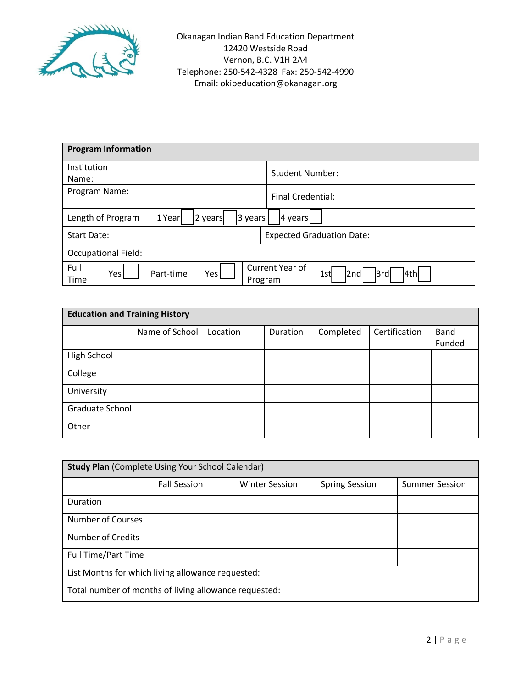

| <b>Program Information</b>                           |                                             |
|------------------------------------------------------|---------------------------------------------|
| Institution                                          | <b>Student Number:</b>                      |
| Name:                                                |                                             |
| Program Name:                                        | <b>Final Credential:</b>                    |
| Length of Program<br>1 Year<br>2 years<br>3 years    | 4 years                                     |
| Start Date:                                          | <b>Expected Graduation Date:</b>            |
| <b>Occupational Field:</b>                           |                                             |
| Full<br>Part-time<br>Yes<br>Yes  <br>Time<br>Program | Current Year of<br>3rd<br>4th<br>2nd<br>1st |

| <b>Education and Training History</b> |                |          |          |           |               |        |  |
|---------------------------------------|----------------|----------|----------|-----------|---------------|--------|--|
|                                       | Name of School | Location | Duration | Completed | Certification | Band   |  |
|                                       |                |          |          |           |               | Funded |  |
| High School                           |                |          |          |           |               |        |  |
| College                               |                |          |          |           |               |        |  |
| University                            |                |          |          |           |               |        |  |
| Graduate School                       |                |          |          |           |               |        |  |
| Other                                 |                |          |          |           |               |        |  |

| <b>Study Plan (Complete Using Your School Calendar)</b> |                     |                       |                       |                       |  |  |  |
|---------------------------------------------------------|---------------------|-----------------------|-----------------------|-----------------------|--|--|--|
|                                                         | <b>Fall Session</b> | <b>Winter Session</b> | <b>Spring Session</b> | <b>Summer Session</b> |  |  |  |
| Duration                                                |                     |                       |                       |                       |  |  |  |
| Number of Courses                                       |                     |                       |                       |                       |  |  |  |
| <b>Number of Credits</b>                                |                     |                       |                       |                       |  |  |  |
| <b>Full Time/Part Time</b>                              |                     |                       |                       |                       |  |  |  |
| List Months for which living allowance requested:       |                     |                       |                       |                       |  |  |  |
| Total number of months of living allowance requested:   |                     |                       |                       |                       |  |  |  |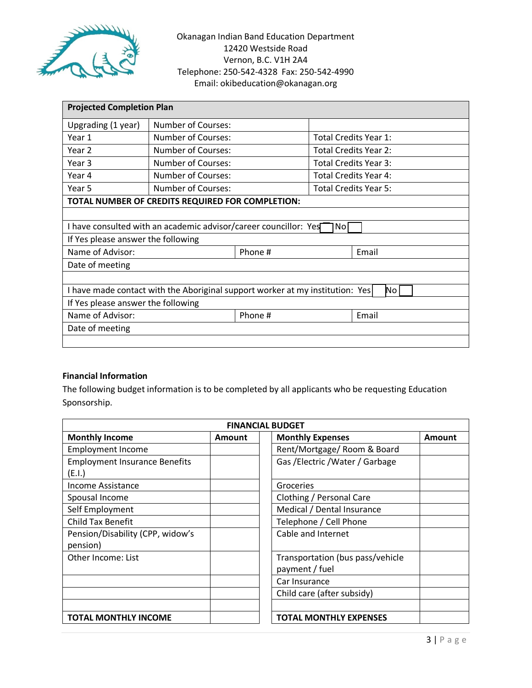

| <b>Projected Completion Plan</b>                                                    |                                                                  |  |                       |                       |  |  |  |  |
|-------------------------------------------------------------------------------------|------------------------------------------------------------------|--|-----------------------|-----------------------|--|--|--|--|
| Upgrading (1 year)                                                                  | <b>Number of Courses:</b>                                        |  |                       |                       |  |  |  |  |
| Year 1                                                                              | <b>Number of Courses:</b>                                        |  | Total Credits Year 1: |                       |  |  |  |  |
| Year 2                                                                              | Number of Courses:                                               |  | Total Credits Year 2: |                       |  |  |  |  |
| Year 3                                                                              | <b>Number of Courses:</b>                                        |  | Total Credits Year 3: |                       |  |  |  |  |
| Year 4                                                                              | Number of Courses:                                               |  | Total Credits Year 4: |                       |  |  |  |  |
| Year 5                                                                              | Number of Courses:                                               |  |                       | Total Credits Year 5: |  |  |  |  |
|                                                                                     | TOTAL NUMBER OF CREDITS REQUIRED FOR COMPLETION:                 |  |                       |                       |  |  |  |  |
|                                                                                     |                                                                  |  |                       |                       |  |  |  |  |
|                                                                                     | I have consulted with an academic advisor/career councillor: Yes |  | No                    |                       |  |  |  |  |
|                                                                                     | If Yes please answer the following                               |  |                       |                       |  |  |  |  |
| Name of Advisor:<br>Phone #<br>Email                                                |                                                                  |  |                       |                       |  |  |  |  |
| Date of meeting                                                                     |                                                                  |  |                       |                       |  |  |  |  |
|                                                                                     |                                                                  |  |                       |                       |  |  |  |  |
| I have made contact with the Aboriginal support worker at my institution: Yes<br>No |                                                                  |  |                       |                       |  |  |  |  |
| If Yes please answer the following                                                  |                                                                  |  |                       |                       |  |  |  |  |
| Name of Advisor:<br>Phone #<br>Email                                                |                                                                  |  |                       |                       |  |  |  |  |
| Date of meeting                                                                     |                                                                  |  |                       |                       |  |  |  |  |
|                                                                                     |                                                                  |  |                       |                       |  |  |  |  |

#### **Financial Information**

The following budget information is to be completed by all applicants who be requesting Education Sponsorship.

| <b>FINANCIAL BUDGET</b>              |        |                                  |        |  |  |  |  |  |
|--------------------------------------|--------|----------------------------------|--------|--|--|--|--|--|
| <b>Monthly Income</b>                | Amount | <b>Monthly Expenses</b>          | Amount |  |  |  |  |  |
| <b>Employment Income</b>             |        | Rent/Mortgage/ Room & Board      |        |  |  |  |  |  |
| <b>Employment Insurance Benefits</b> |        | Gas / Electric / Water / Garbage |        |  |  |  |  |  |
| (E.I.)                               |        |                                  |        |  |  |  |  |  |
| Income Assistance                    |        | Groceries                        |        |  |  |  |  |  |
| Spousal Income                       |        | Clothing / Personal Care         |        |  |  |  |  |  |
| Self Employment                      |        | Medical / Dental Insurance       |        |  |  |  |  |  |
| <b>Child Tax Benefit</b>             |        | Telephone / Cell Phone           |        |  |  |  |  |  |
| Pension/Disability (CPP, widow's     |        | Cable and Internet               |        |  |  |  |  |  |
| pension)                             |        |                                  |        |  |  |  |  |  |
| Other Income: List                   |        | Transportation (bus pass/vehicle |        |  |  |  |  |  |
|                                      |        | payment / fuel                   |        |  |  |  |  |  |
|                                      |        | Car Insurance                    |        |  |  |  |  |  |
|                                      |        | Child care (after subsidy)       |        |  |  |  |  |  |
|                                      |        |                                  |        |  |  |  |  |  |
| <b>TOTAL MONTHLY INCOME</b>          |        | <b>TOTAL MONTHLY EXPENSES</b>    |        |  |  |  |  |  |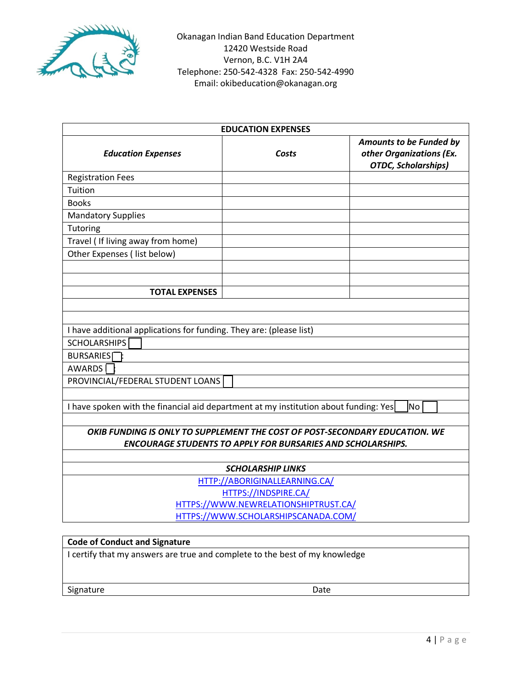

| <b>EDUCATION EXPENSES</b>                                                            |                                                                    |                                                                                   |  |  |  |  |  |  |
|--------------------------------------------------------------------------------------|--------------------------------------------------------------------|-----------------------------------------------------------------------------------|--|--|--|--|--|--|
| <b>Education Expenses</b>                                                            | Costs                                                              | Amounts to be Funded by<br>other Organizations (Ex.<br><b>OTDC, Scholarships)</b> |  |  |  |  |  |  |
| <b>Registration Fees</b>                                                             |                                                                    |                                                                                   |  |  |  |  |  |  |
| Tuition                                                                              |                                                                    |                                                                                   |  |  |  |  |  |  |
| <b>Books</b>                                                                         |                                                                    |                                                                                   |  |  |  |  |  |  |
| <b>Mandatory Supplies</b>                                                            |                                                                    |                                                                                   |  |  |  |  |  |  |
| Tutoring                                                                             |                                                                    |                                                                                   |  |  |  |  |  |  |
| Travel ( If living away from home)                                                   |                                                                    |                                                                                   |  |  |  |  |  |  |
| Other Expenses (list below)                                                          |                                                                    |                                                                                   |  |  |  |  |  |  |
|                                                                                      |                                                                    |                                                                                   |  |  |  |  |  |  |
|                                                                                      |                                                                    |                                                                                   |  |  |  |  |  |  |
| <b>TOTAL EXPENSES</b>                                                                |                                                                    |                                                                                   |  |  |  |  |  |  |
|                                                                                      |                                                                    |                                                                                   |  |  |  |  |  |  |
|                                                                                      |                                                                    |                                                                                   |  |  |  |  |  |  |
| I have additional applications for funding. They are: (please list)                  |                                                                    |                                                                                   |  |  |  |  |  |  |
| <b>SCHOLARSHIPS</b>                                                                  |                                                                    |                                                                                   |  |  |  |  |  |  |
| <b>BURSARIES</b>                                                                     |                                                                    |                                                                                   |  |  |  |  |  |  |
| <b>AWARDS</b>                                                                        |                                                                    |                                                                                   |  |  |  |  |  |  |
| PROVINCIAL/FEDERAL STUDENT LOANS                                                     |                                                                    |                                                                                   |  |  |  |  |  |  |
|                                                                                      |                                                                    |                                                                                   |  |  |  |  |  |  |
| I have spoken with the financial aid department at my institution about funding: Yes |                                                                    | No l                                                                              |  |  |  |  |  |  |
|                                                                                      |                                                                    |                                                                                   |  |  |  |  |  |  |
| OKIB FUNDING IS ONLY TO SUPPLEMENT THE COST OF POST-SECONDARY EDUCATION. WE          |                                                                    |                                                                                   |  |  |  |  |  |  |
|                                                                                      | <b>ENCOURAGE STUDENTS TO APPLY FOR BURSARIES AND SCHOLARSHIPS.</b> |                                                                                   |  |  |  |  |  |  |
| <b>SCHOLARSHIP LINKS</b>                                                             |                                                                    |                                                                                   |  |  |  |  |  |  |
| HTTP://ABORIGINALLEARNING.CA/                                                        |                                                                    |                                                                                   |  |  |  |  |  |  |
| HTTPS://INDSPIRE.CA/                                                                 |                                                                    |                                                                                   |  |  |  |  |  |  |
| HTTPS://WWW.NEWRELATIONSHIPTRUST.CA/                                                 |                                                                    |                                                                                   |  |  |  |  |  |  |
| HTTPS://WWW.SCHOLARSHIPSCANADA.COM/                                                  |                                                                    |                                                                                   |  |  |  |  |  |  |
|                                                                                      |                                                                    |                                                                                   |  |  |  |  |  |  |

# **Code of Conduct and Signature** I certify that my answers are true and complete to the best of my knowledge

Signature Date Date Date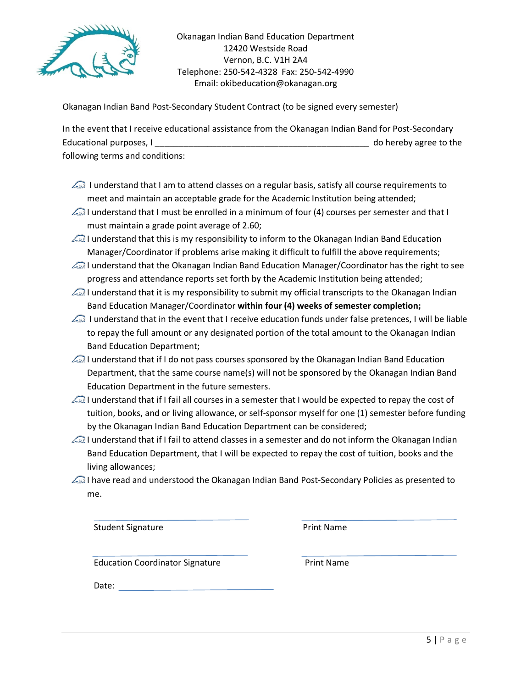

Okanagan Indian Band Post-Secondary Student Contract (to be signed every semester)

In the event that I receive educational assistance from the Okanagan Indian Band for Post-Secondary Educational purposes, I controlled the set of the set of the set of the set of the set of the set of the set of the set of the set of the set of the set of the set of the set of the set of the set of the set of the set of following terms and conditions:

- I understand that I am to attend classes on a regular basis, satisfy all course requirements to meet and maintain an acceptable grade for the Academic Institution being attended;
- I understand that I must be enrolled in a minimum of four (4) courses per semester and that I must maintain a grade point average of 2.60;
- I understand that this is my responsibility to inform to the Okanagan Indian Band Education Manager/Coordinator if problems arise making it difficult to fulfill the above requirements;
- I understand that the Okanagan Indian Band Education Manager/Coordinator has the right to see progress and attendance reports set forth by the Academic Institution being attended;
- I understand that it is my responsibility to submit my official transcripts to the Okanagan Indian Band Education Manager/Coordinator **within four (4) weeks of semester completion;**
- I understand that in the event that I receive education funds under false pretences, I will be liable to repay the full amount or any designated portion of the total amount to the Okanagan Indian Band Education Department;
- I understand that if I do not pass courses sponsored by the Okanagan Indian Band Education Department, that the same course name(s) will not be sponsored by the Okanagan Indian Band Education Department in the future semesters.
- I understand that if I fail all courses in a semester that I would be expected to repay the cost of tuition, books, and or living allowance, or self-sponsor myself for one (1) semester before funding by the Okanagan Indian Band Education Department can be considered;
- I understand that if I fail to attend classes in a semester and do not inform the Okanagan Indian Band Education Department, that I will be expected to repay the cost of tuition, books and the living allowances;
- I have read and understood the Okanagan Indian Band Post-Secondary Policies as presented to me.

Student Signature **Print Name** 

Education Coordinator Signature **Print Name** 

Date: with the contract of the contract of the contract of the contract of the contract of the contract of the